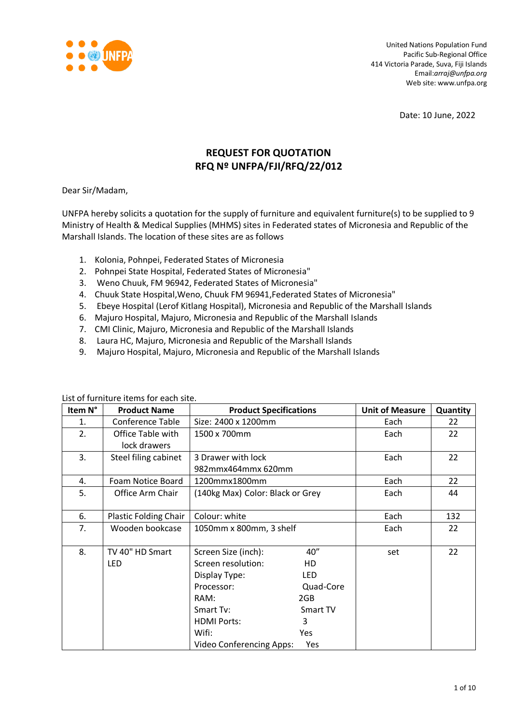

United Nations Population Fund Pacific Sub-Regional Office 414 Victoria Parade, Suva, Fiji Islands Email:*arraj@unfpa.org* Web site: www.unfpa.org

Date: 10 June, 2022

# **REQUEST FOR QUOTATION RFQ Nº UNFPA/FJI/RFQ/22/012**

Dear Sir/Madam,

UNFPA hereby solicits a quotation for the supply of furniture and equivalent furniture(s) to be supplied to 9 Ministry of Health & Medical Supplies (MHMS) sites in Federated states of Micronesia and Republic of the Marshall Islands. The location of these sites are as follows

- 1. Kolonia, Pohnpei, Federated States of Micronesia
- 2. Pohnpei State Hospital, Federated States of Micronesia"
- 3. Weno Chuuk, FM 96942, Federated States of Micronesia"
- 4. Chuuk State Hospital,Weno, Chuuk FM 96941,Federated States of Micronesia"
- 5. Ebeye Hospital (Lerof Kitlang Hospital), Micronesia and Republic of the Marshall Islands
- 6. Majuro Hospital, Majuro, Micronesia and Republic of the Marshall Islands
- 7. CMI Clinic, Majuro, Micronesia and Republic of the Marshall Islands
- 8. Laura HC, Majuro, Micronesia and Republic of the Marshall Islands
- 9. Majuro Hospital, Majuro, Micronesia and Republic of the Marshall Islands

| Item N° | <b>Product Name</b>          | <b>Product Specifications</b>    |           | <b>Unit of Measure</b> | Quantity |
|---------|------------------------------|----------------------------------|-----------|------------------------|----------|
| 1.      | <b>Conference Table</b>      | Size: 2400 x 1200mm              | Each      | 22                     |          |
| 2.      | Office Table with            | 1500 x 700mm                     |           | Each                   | 22       |
|         | lock drawers                 |                                  |           |                        |          |
| 3.      | Steel filing cabinet         | 3 Drawer with lock               |           | Each                   | 22       |
|         |                              | 982mmx464mmx 620mm               |           |                        |          |
| 4.      | Foam Notice Board            | 1200mmx1800mm                    |           | Each                   | 22       |
| 5.      | Office Arm Chair             | (140kg Max) Color: Black or Grey |           | Each                   | 44       |
|         |                              |                                  |           |                        |          |
| 6.      | <b>Plastic Folding Chair</b> | Colour: white                    |           | Each                   | 132      |
| 7.      | Wooden bookcase              | 1050mm x 800mm, 3 shelf          |           | Each                   | 22       |
|         |                              |                                  |           |                        |          |
| 8.      | TV 40" HD Smart              | Screen Size (inch):              | 40"       | set                    | 22       |
|         | <b>LED</b>                   | Screen resolution:               | HD        |                        |          |
|         |                              | Display Type:                    | LED       |                        |          |
|         |                              | Processor:                       | Quad-Core |                        |          |
|         |                              | RAM:                             | 2GB       |                        |          |
|         |                              | Smart Tv:                        | Smart TV  |                        |          |
|         |                              | <b>HDMI Ports:</b>               | 3         |                        |          |
|         |                              | Wifi:                            | Yes       |                        |          |
|         |                              | <b>Video Conferencing Apps:</b>  | Yes       |                        |          |

List of furniture items for each site.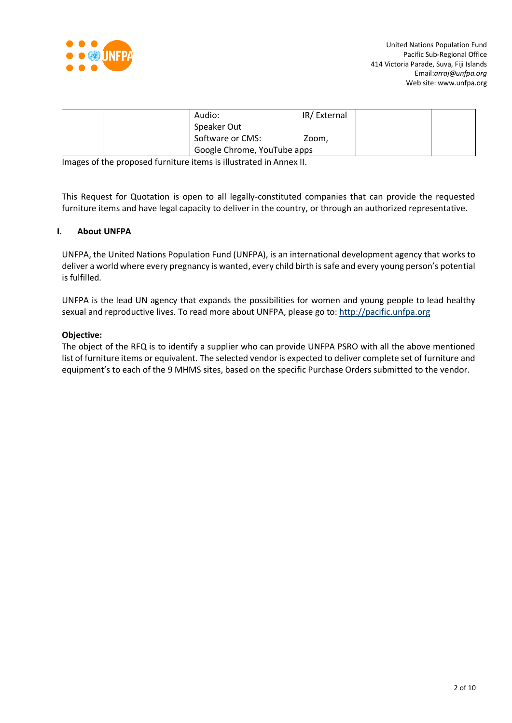

|  | Audio:                      | IR/External |  |
|--|-----------------------------|-------------|--|
|  | Speaker Out                 |             |  |
|  | Software or CMS:            | Zoom,       |  |
|  | Google Chrome, YouTube apps |             |  |

Images of the proposed furniture items is illustrated in Annex II.

This Request for Quotation is open to all legally-constituted companies that can provide the requested furniture items and have legal capacity to deliver in the country, or through an authorized representative.

#### **I. About UNFPA**

UNFPA, the United Nations Population Fund (UNFPA), is an international development agency that works to deliver a world where every pregnancy is wanted, every child birth is safe and every young person's potential is fulfilled.

UNFPA is the lead UN agency that expands the possibilities for women and young people to lead healthy sexual and reproductive lives. To read more about UNFPA, please go to: [http://pacific.unfpa.org](http://pacific.unfpa.org/)

#### **Objective:**

The object of the RFQ is to identify a supplier who can provide UNFPA PSRO with all the above mentioned list of furniture items or equivalent. The selected vendor is expected to deliver complete set of furniture and equipment's to each of the 9 MHMS sites, based on the specific Purchase Orders submitted to the vendor.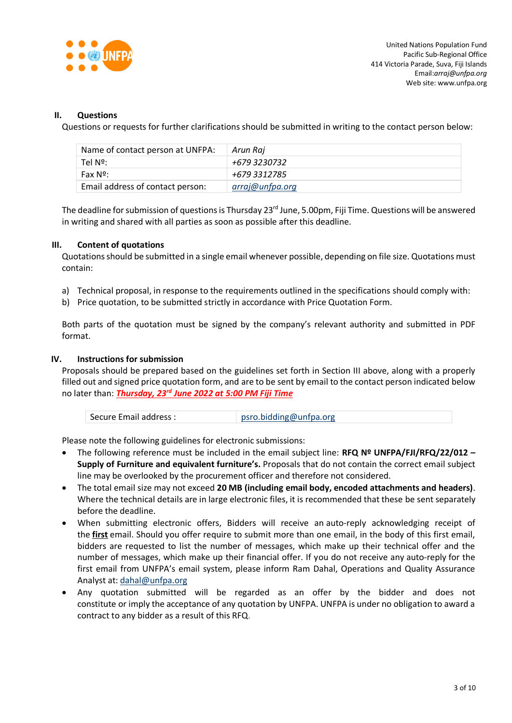

## **II. Questions**

Questions or requests for further clarifications should be submitted in writing to the contact person below:

| Name of contact person at UNFPA: | Arun Raj        |
|----------------------------------|-----------------|
| Tel Nº:                          | +679 3230732    |
| Fax Nº:                          | +679 3312785    |
| Email address of contact person: | arraj@unfpa.org |

The deadline for submission of questions is Thursday 23<sup>rd</sup> June, 5.00pm, Fiji Time. Questions will be answered in writing and shared with all parties as soon as possible after this deadline.

# **III. Content of quotations**

Quotations should be submitted in a single email whenever possible, depending on file size. Quotations must contain:

- a) Technical proposal, in response to the requirements outlined in the specifications should comply with:
- b) Price quotation, to be submitted strictly in accordance with Price Quotation Form.

Both parts of the quotation must be signed by the company's relevant authority and submitted in PDF format.

#### **IV. Instructions for submission**

Proposals should be prepared based on the guidelines set forth in Section III above, along with a properly filled out and signed price quotation form, and are to be sent by email to the contact person indicated below no later than: *Thursday, 23rd June 2022 at 5:00 PM Fiji Time*

| Secure Email address : | psro.bidding@unfpa.org |
|------------------------|------------------------|
|------------------------|------------------------|

Please note the following guidelines for electronic submissions:

- The following reference must be included in the email subject line: **RFQ Nº UNFPA/FJI/RFQ/22/012 – Supply of Furniture and equivalent furniture's.** Proposals that do not contain the correct email subject line may be overlooked by the procurement officer and therefore not considered.
- The total email size may not exceed **20 MB (including email body, encoded attachments and headers)**. Where the technical details are in large electronic files, it is recommended that these be sent separately before the deadline.
- When submitting electronic offers, Bidders will receive an auto-reply acknowledging receipt of the **first** email. Should you offer require to submit more than one email, in the body of this first email, bidders are requested to list the number of messages, which make up their technical offer and the number of messages, which make up their financial offer. If you do not receive any auto-reply for the first email from UNFPA's email system, please inform Ram Dahal, Operations and Quality Assurance Analyst at: [dahal@unfpa.org](mailto:dahal@unfpa.org)
- Any quotation submitted will be regarded as an offer by the bidder and does not constitute or imply the acceptance of any quotation by UNFPA. UNFPA is under no obligation to award a contract to any bidder as a result of this RFQ.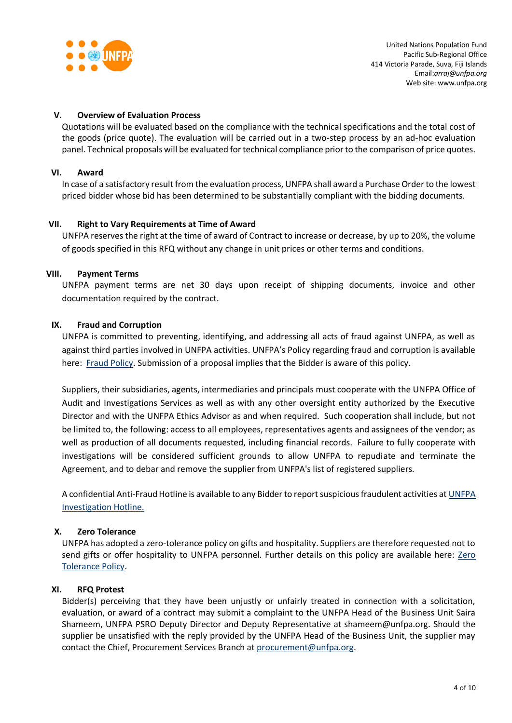

## **V. Overview of Evaluation Process**

Quotations will be evaluated based on the compliance with the technical specifications and the total cost of the goods (price quote). The evaluation will be carried out in a two-step process by an ad-hoc evaluation panel. Technical proposals will be evaluated for technical compliance prior to the comparison of price quotes.

## **VI. Award**

In case of a satisfactory result from the evaluation process, UNFPA shall award a Purchase Order to the lowest priced bidder whose bid has been determined to be substantially compliant with the bidding documents.

#### **VII. Right to Vary Requirements at Time of Award**

UNFPA reserves the right at the time of award of Contract to increase or decrease, by up to 20%, the volume of goods specified in this RFQ without any change in unit prices or other terms and conditions.

#### **VIII. Payment Terms**

UNFPA payment terms are net 30 days upon receipt of shipping documents, invoice and other documentation required by the contract.

#### **IX. [Fraud and Corruption](http://www.unfpa.org/about-procurement#FraudCorruption)**

UNFPA is committed to preventing, identifying, and addressing all acts of fraud against UNFPA, as well as against third parties involved in UNFPA activities. UNFPA's Policy regarding fraud and corruption is available here: [Fraud Policy.](http://www.unfpa.org/resources/fraud-policy-2009#overlay-context=node/10356/draft) Submission of a proposal implies that the Bidder is aware of this policy.

Suppliers, their subsidiaries, agents, intermediaries and principals must cooperate with the UNFPA Office of Audit and Investigations Services as well as with any other oversight entity authorized by the Executive Director and with the UNFPA Ethics Advisor as and when required. Such cooperation shall include, but not be limited to, the following: access to all employees, representatives agents and assignees of the vendor; as well as production of all documents requested, including financial records. Failure to fully cooperate with investigations will be considered sufficient grounds to allow UNFPA to repudiate and terminate the Agreement, and to debar and remove the supplier from UNFPA's list of registered suppliers.

A confidential Anti-Fraud Hotline is available to any Bidder to report suspicious fraudulent activities a[t UNFPA](http://web2.unfpa.org/help/hotline.cfm)  [Investigation Hotline.](http://web2.unfpa.org/help/hotline.cfm)

# **X. Zero Tolerance**

UNFPA has adopted a zero-tolerance policy on gifts and hospitality. Suppliers are therefore requested not to send gifts or offer hospitality to UNFPA personnel. Further details on this policy are available here: [Zero](http://www.unfpa.org/about-procurement#ZeroTolerance)  [Tolerance Policy.](http://www.unfpa.org/about-procurement#ZeroTolerance)

#### **XI. RFQ Protest**

Bidder(s) perceiving that they have been unjustly or unfairly treated in connection with a solicitation, evaluation, or award of a contract may submit a complaint to the UNFPA Head of the Business Unit Saira Shameem, UNFPA PSRO Deputy Director and Deputy Representative at shameem@unfpa.org. Should the supplier be unsatisfied with the reply provided by the UNFPA Head of the Business Unit, the supplier may contact the Chief, Procurement Services Branch at [procurement@unfpa.org.](mailto:procurement@unfpa.org)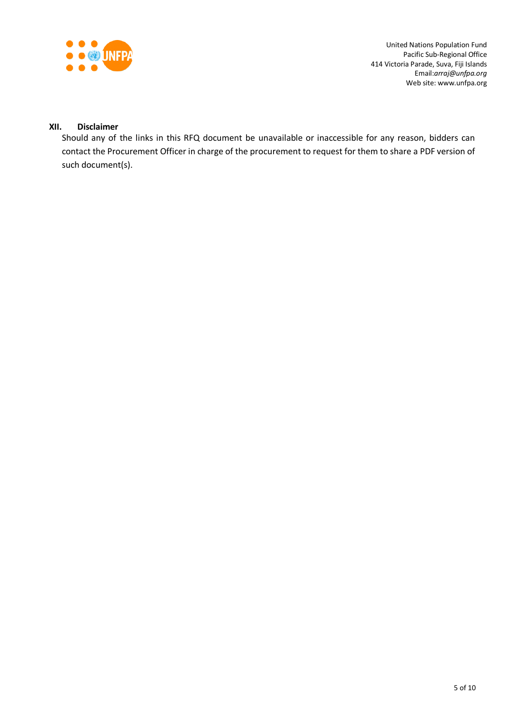

United Nations Population Fund Pacific Sub-Regional Office 414 Victoria Parade, Suva, Fiji Islands Email:*arraj@unfpa.org* Web site: www.unfpa.org

# **XII. Disclaimer**

Should any of the links in this RFQ document be unavailable or inaccessible for any reason, bidders can contact the Procurement Officer in charge of the procurement to request for them to share a PDF version of such document(s).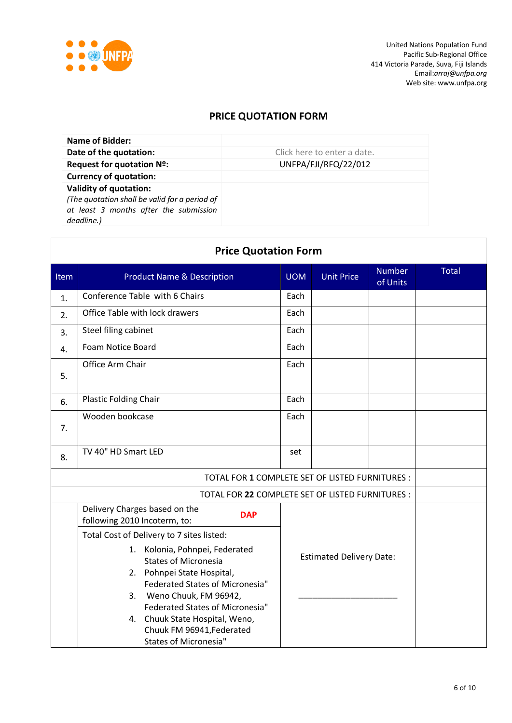

# **PRICE QUOTATION FORM**

| Name of Bidder:                                                                                                                        |                             |
|----------------------------------------------------------------------------------------------------------------------------------------|-----------------------------|
| Date of the quotation:                                                                                                                 | Click here to enter a date. |
| Request for quotation Nº:                                                                                                              | UNFPA/FJI/RFQ/22/012        |
| <b>Currency of quotation:</b>                                                                                                          |                             |
| <b>Validity of quotation:</b><br>(The quotation shall be valid for a period of<br>at least 3 months after the submission<br>deadline.) |                             |

| <b>Price Quotation Form</b>                      |                                                                                                                                                                                                                                                                                                               |      |                                 |                           |       |  |
|--------------------------------------------------|---------------------------------------------------------------------------------------------------------------------------------------------------------------------------------------------------------------------------------------------------------------------------------------------------------------|------|---------------------------------|---------------------------|-------|--|
| Item                                             | <b>Product Name &amp; Description</b>                                                                                                                                                                                                                                                                         |      | <b>Unit Price</b>               | <b>Number</b><br>of Units | Total |  |
| 1.                                               | Conference Table with 6 Chairs                                                                                                                                                                                                                                                                                | Each |                                 |                           |       |  |
| 2.                                               | Office Table with lock drawers                                                                                                                                                                                                                                                                                | Each |                                 |                           |       |  |
| 3.                                               | Steel filing cabinet                                                                                                                                                                                                                                                                                          | Each |                                 |                           |       |  |
| 4.                                               | Foam Notice Board                                                                                                                                                                                                                                                                                             | Each |                                 |                           |       |  |
| 5.                                               | Office Arm Chair                                                                                                                                                                                                                                                                                              |      |                                 |                           |       |  |
| 6.                                               | Plastic Folding Chair                                                                                                                                                                                                                                                                                         | Each |                                 |                           |       |  |
| 7.                                               | Wooden bookcase                                                                                                                                                                                                                                                                                               |      |                                 |                           |       |  |
| 8.                                               | TV 40" HD Smart LED                                                                                                                                                                                                                                                                                           |      |                                 |                           |       |  |
| TOTAL FOR 1 COMPLETE SET OF LISTED FURNITURES :  |                                                                                                                                                                                                                                                                                                               |      |                                 |                           |       |  |
| TOTAL FOR 22 COMPLETE SET OF LISTED FURNITURES : |                                                                                                                                                                                                                                                                                                               |      |                                 |                           |       |  |
|                                                  | Delivery Charges based on the<br><b>DAP</b><br>following 2010 Incoterm, to:                                                                                                                                                                                                                                   |      |                                 |                           |       |  |
|                                                  | Total Cost of Delivery to 7 sites listed:                                                                                                                                                                                                                                                                     |      |                                 |                           |       |  |
|                                                  | 1. Kolonia, Pohnpei, Federated<br><b>States of Micronesia</b><br>2. Pohnpei State Hospital,<br><b>Federated States of Micronesia"</b><br>Weno Chuuk, FM 96942,<br>3.<br><b>Federated States of Micronesia"</b><br>4. Chuuk State Hospital, Weno,<br>Chuuk FM 96941, Federated<br><b>States of Micronesia"</b> |      | <b>Estimated Delivery Date:</b> |                           |       |  |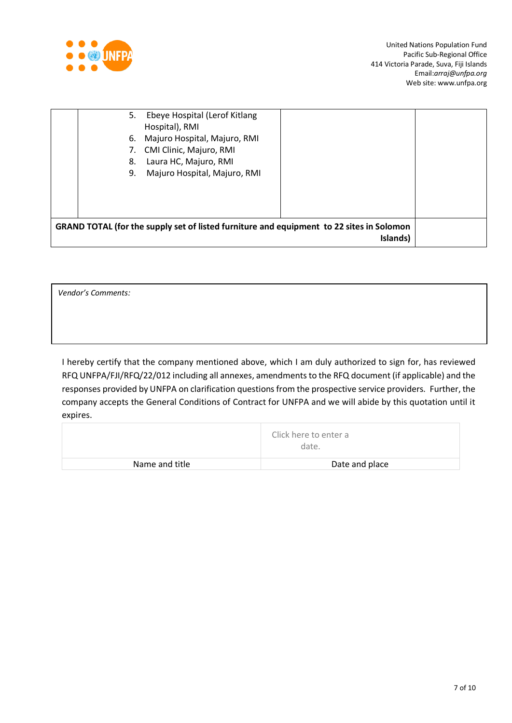

| GRAND TOTAL (for the supply set of listed furniture and equipment to 22 sites in Solomon                                     | Islands) |  |
|------------------------------------------------------------------------------------------------------------------------------|----------|--|
| Laura HC, Majuro, RMI<br>8.<br>Majuro Hospital, Majuro, RMI<br>9.                                                            |          |  |
| Ebeye Hospital (Lerof Kitlang<br>5.<br>Hospital), RMI<br>Majuro Hospital, Majuro, RMI<br>6.<br>CMI Clinic, Majuro, RMI<br>7. |          |  |

*Vendor's Comments:*

I hereby certify that the company mentioned above, which I am duly authorized to sign for, has reviewed RFQ UNFPA/FJI/RFQ/22/012 including all annexes, amendments to the RFQ document (if applicable) and the responses provided by UNFPA on clarification questions from the prospective service providers. Further, the company accepts the General Conditions of Contract for UNFPA and we will abide by this quotation until it expires.

|                | Click here to enter a<br>date. |
|----------------|--------------------------------|
| Name and title | Date and place                 |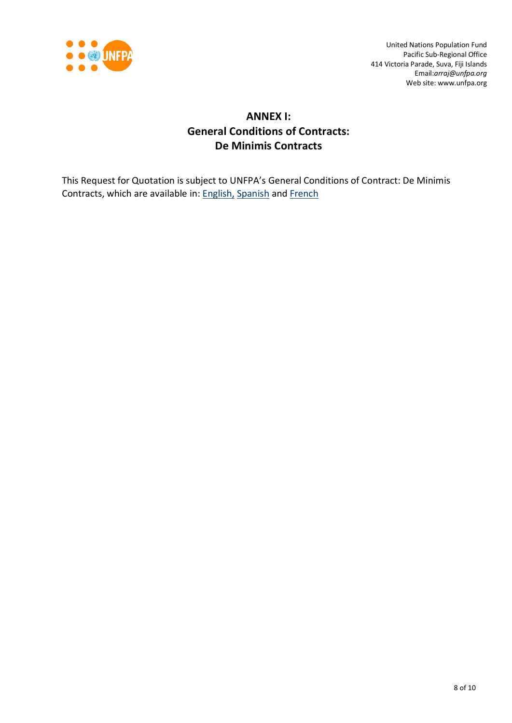

# **ANNEX I: General Conditions of Contracts: De Minimis Contracts**

This Request for Quotation is subject to UNFPA's General Conditions of Contract: De Minimis Contracts, which are available in: [English,](http://www.unfpa.org/resources/unfpa-general-conditions-de-minimis-contracts) [Spanish](http://www.unfpa.org/sites/default/files/resource-pdf/UNFPA%20General%20Conditions%20-%20De%20Minimis%20Contracts%20SP_0.pdf) and [French](http://www.unfpa.org/sites/default/files/resource-pdf/UNFPA%20General%20Conditions%20-%20De%20Minimis%20Contracts%20FR_0.pdf)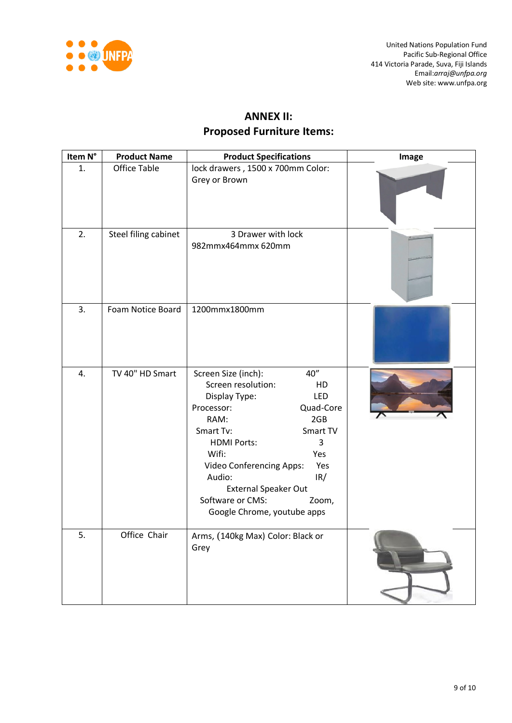

# **ANNEX II: Proposed Furniture Items:**

| Item N° | <b>Product Name</b>  | <b>Product Specifications</b>                                                                                                                                                                                                                                                                                                        | Image |
|---------|----------------------|--------------------------------------------------------------------------------------------------------------------------------------------------------------------------------------------------------------------------------------------------------------------------------------------------------------------------------------|-------|
| 1.      | <b>Office Table</b>  | lock drawers, 1500 x 700mm Color:<br>Grey or Brown                                                                                                                                                                                                                                                                                   |       |
| 2.      | Steel filing cabinet | 3 Drawer with lock<br>982mmx464mmx 620mm                                                                                                                                                                                                                                                                                             |       |
| 3.      | Foam Notice Board    | 1200mmx1800mm                                                                                                                                                                                                                                                                                                                        |       |
| 4.      | TV 40" HD Smart      | 40"<br>Screen Size (inch):<br>Screen resolution:<br>HD<br>LED<br>Display Type:<br>Quad-Core<br>Processor:<br>RAM:<br>2GB<br>Smart Tv:<br>Smart TV<br>3<br><b>HDMI Ports:</b><br>Wifi:<br>Yes<br>Yes<br>Video Conferencing Apps:<br>IR/<br>Audio:<br>External Speaker Out<br>Software or CMS:<br>Zoom,<br>Google Chrome, youtube apps |       |
| 5.      | Office Chair         | Arms, (140kg Max) Color: Black or<br>Grey                                                                                                                                                                                                                                                                                            |       |